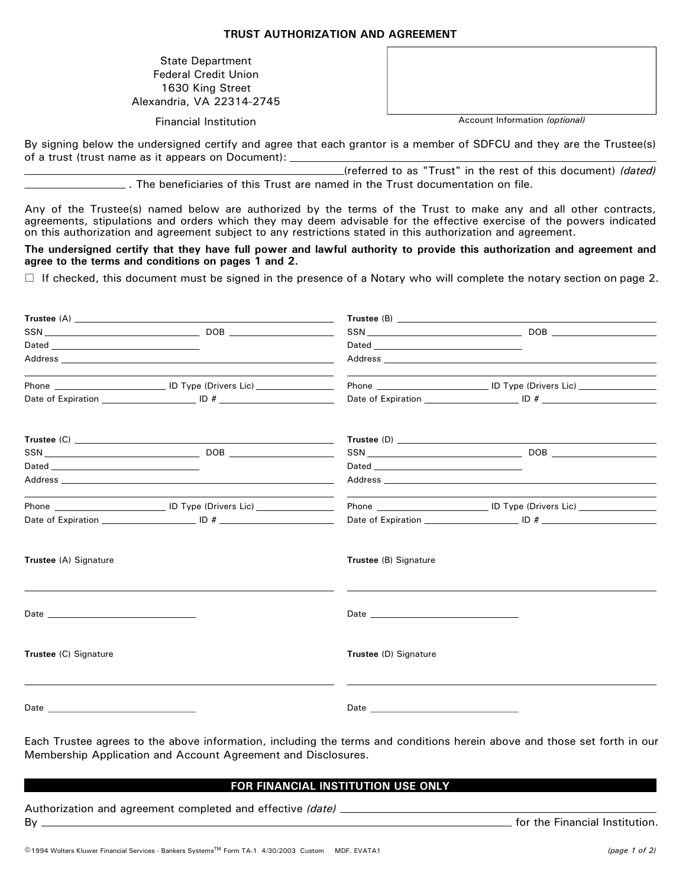## **TRUST AUTHORIZATION AND AGREEMENT**

State Department Federal Credit Union 1630 King Street Alexandria, VA 22314-2745

| Financial Institution |
|-----------------------|

| Account Information <i>(ontional)</i> |  |  |
|---------------------------------------|--|--|

Financial Institution Account Information *(optional)*

By signing below the undersigned certify and agree that each grantor is a member of SDFCU and they are the Trustee(s) of a trust (trust name as it appears on Document):

> (referred to as "Trust" in the rest of this document) *(dated)* . The beneficiaries of this Trust are named in the Trust documentation on file.

Any of the Trustee(s) named below are authorized by the terms of the Trust to make any and all other contracts, agreements, stipulations and orders which they may deem advisable for the effective exercise of the powers indicated on this authorization and agreement subject to any restrictions stated in this authorization and agreement.

**The undersigned certify that they have full power and lawful authority to provide this authorization and agreement and agree to the terms and conditions on pages 1 and 2.**

 $\Box$  If checked, this document must be signed in the presence of a Notary who will complete the notary section on page 2.

|                                                                                                                                                                                                                                |                                                                                                                                                                                                                                | Phone ________________________________ ID Type (Drivers Lic) ___________________ |  |
|--------------------------------------------------------------------------------------------------------------------------------------------------------------------------------------------------------------------------------|--------------------------------------------------------------------------------------------------------------------------------------------------------------------------------------------------------------------------------|----------------------------------------------------------------------------------|--|
|                                                                                                                                                                                                                                |                                                                                                                                                                                                                                |                                                                                  |  |
| Trustee (A) Signature                                                                                                                                                                                                          | Trustee (B) Signature                                                                                                                                                                                                          |                                                                                  |  |
| Date and the contract of the contract of the contract of the contract of the contract of the contract of the contract of the contract of the contract of the contract of the contract of the contract of the contract of the c | Date and the contract of the contract of the contract of the contract of the contract of the contract of the contract of the contract of the contract of the contract of the contract of the contract of the contract of the c |                                                                                  |  |
| Trustee (C) Signature                                                                                                                                                                                                          | Trustee (D) Signature                                                                                                                                                                                                          |                                                                                  |  |
|                                                                                                                                                                                                                                | Date and the contract of the contract of the contract of the contract of the contract of the contract of the contract of the contract of the contract of the contract of the contract of the contract of the contract of the c |                                                                                  |  |

Each Trustee agrees to the above information, including the terms and conditions herein above and those set forth in our Membership Application and Account Agreement and Disclosures.

## **FOR FINANCIAL INSTITUTION USE ONLY**

| Authorization and agreement completed and effective (date) |                                |
|------------------------------------------------------------|--------------------------------|
| Bv                                                         | for the Financial Institution. |